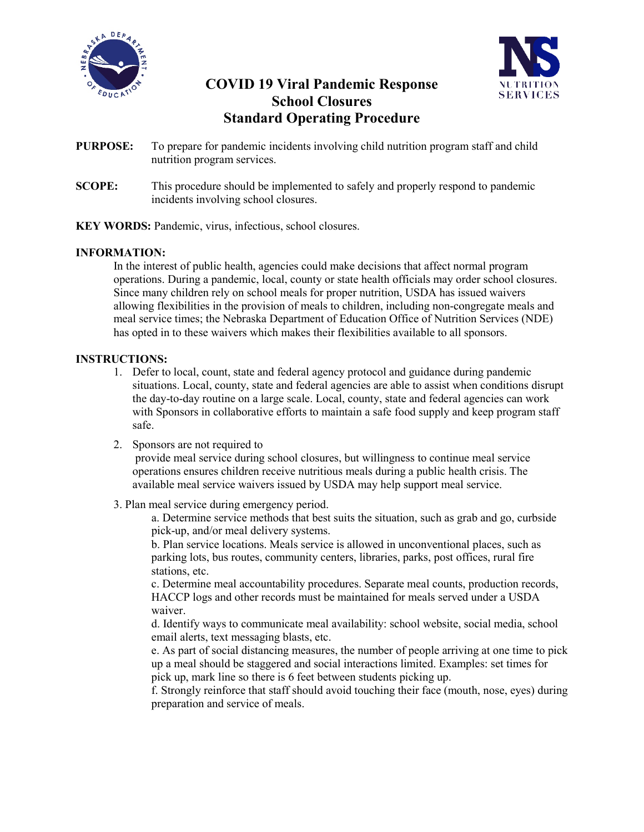



# **COVID 19 Viral Pandemic Response School Closures Standard Operating Procedure**

- **PURPOSE:** To prepare for pandemic incidents involving child nutrition program staff and child nutrition program services.
- **SCOPE:** This procedure should be implemented to safely and properly respond to pandemic incidents involving school closures.
- **KEY WORDS:** Pandemic, virus, infectious, school closures.

# **INFORMATION:**

In the interest of public health, agencies could make decisions that affect normal program operations. During a pandemic, local, county or state health officials may order school closures. Since many children rely on school meals for proper nutrition, USDA has issued waivers allowing flexibilities in the provision of meals to children, including non-congregate meals and meal service times; the Nebraska Department of Education Office of Nutrition Services (NDE) has opted in to these waivers which makes their flexibilities available to all sponsors.

## **INSTRUCTIONS:**

- 1. Defer to local, count, state and federal agency protocol and guidance during pandemic situations. Local, county, state and federal agencies are able to assist when conditions disrupt the day-to-day routine on a large scale. Local, county, state and federal agencies can work with Sponsors in collaborative efforts to maintain a safe food supply and keep program staff safe.
- 2. Sponsors are not required to

provide meal service during school closures, but willingness to continue meal service operations ensures children receive nutritious meals during a public health crisis. The available meal service waivers issued by USDA may help support meal service.

3. Plan meal service during emergency period.

a. Determine service methods that best suits the situation, such as grab and go, curbside pick-up, and/or meal delivery systems.

b. Plan service locations. Meals service is allowed in unconventional places, such as parking lots, bus routes, community centers, libraries, parks, post offices, rural fire stations, etc.

c. Determine meal accountability procedures. Separate meal counts, production records, HACCP logs and other records must be maintained for meals served under a USDA waiver.

d. Identify ways to communicate meal availability: school website, social media, school email alerts, text messaging blasts, etc.

e. As part of social distancing measures, the number of people arriving at one time to pick up a meal should be staggered and social interactions limited. Examples: set times for pick up, mark line so there is 6 feet between students picking up.

f. Strongly reinforce that staff should avoid touching their face (mouth, nose, eyes) during preparation and service of meals.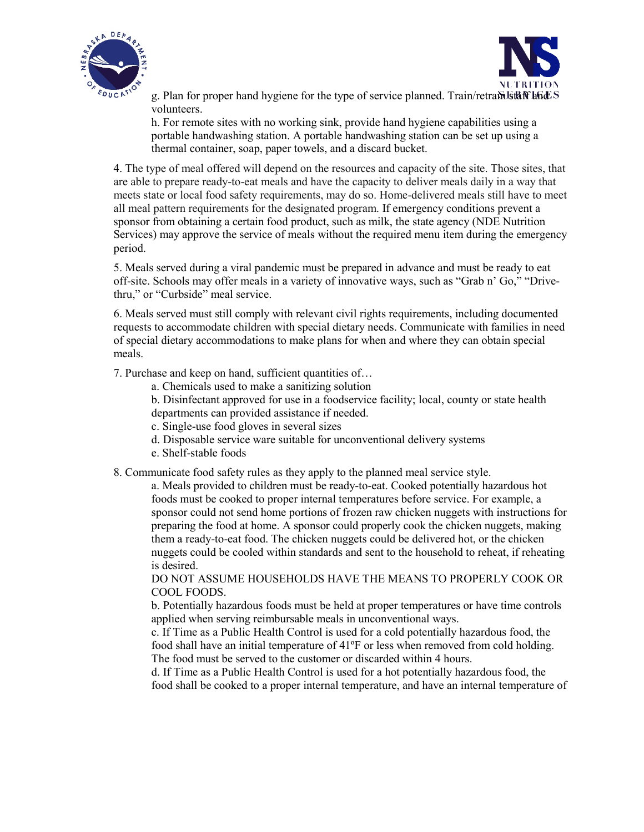



g. Plan for proper hand hygiene for the type of service planned. Train/retra $\delta$  staff  $\delta$ volunteers.

h. For remote sites with no working sink, provide hand hygiene capabilities using a portable handwashing station. A portable handwashing station can be set up using a thermal container, soap, paper towels, and a discard bucket.

4. The type of meal offered will depend on the resources and capacity of the site. Those sites, that are able to prepare ready-to-eat meals and have the capacity to deliver meals daily in a way that meets state or local food safety requirements, may do so. Home-delivered meals still have to meet all meal pattern requirements for the designated program. If emergency conditions prevent a sponsor from obtaining a certain food product, such as milk, the state agency (NDE Nutrition Services) may approve the service of meals without the required menu item during the emergency period.

5. Meals served during a viral pandemic must be prepared in advance and must be ready to eat off-site. Schools may offer meals in a variety of innovative ways, such as "Grab n' Go," "Drivethru," or "Curbside" meal service.

6. Meals served must still comply with relevant civil rights requirements, including documented requests to accommodate children with special dietary needs. Communicate with families in need of special dietary accommodations to make plans for when and where they can obtain special meals.

7. Purchase and keep on hand, sufficient quantities of…

- a. Chemicals used to make a sanitizing solution
- b. Disinfectant approved for use in a foodservice facility; local, county or state health
- departments can provided assistance if needed.
- c. Single-use food gloves in several sizes
- d. Disposable service ware suitable for unconventional delivery systems
- e. Shelf-stable foods
- 8. Communicate food safety rules as they apply to the planned meal service style.

a. Meals provided to children must be ready-to-eat. Cooked potentially hazardous hot foods must be cooked to proper internal temperatures before service. For example, a sponsor could not send home portions of frozen raw chicken nuggets with instructions for preparing the food at home. A sponsor could properly cook the chicken nuggets, making them a ready-to-eat food. The chicken nuggets could be delivered hot, or the chicken nuggets could be cooled within standards and sent to the household to reheat, if reheating is desired.

DO NOT ASSUME HOUSEHOLDS HAVE THE MEANS TO PROPERLY COOK OR COOL FOODS.

b. Potentially hazardous foods must be held at proper temperatures or have time controls applied when serving reimbursable meals in unconventional ways.

c. If Time as a Public Health Control is used for a cold potentially hazardous food, the food shall have an initial temperature of 41ºF or less when removed from cold holding. The food must be served to the customer or discarded within 4 hours.

d. If Time as a Public Health Control is used for a hot potentially hazardous food, the food shall be cooked to a proper internal temperature, and have an internal temperature of